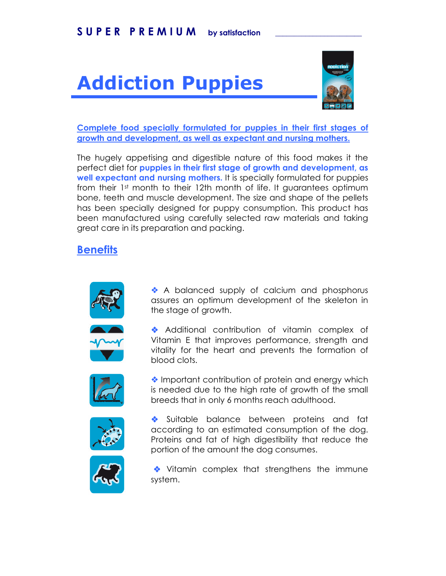## **Addiction Puppies**



Complete food specially formulated for puppies in their first stages of growth and development, as well as expectant and nursing mothers.

The hugely appetising and digestible nature of this food makes it the perfect diet for puppies in their first stage of growth and development, as well expectant and nursing mothers. It is specially formulated for puppies from their 1st month to their 12th month of life. It guarantees optimum bone, teeth and muscle development. The size and shape of the pellets has been specially designed for puppy consumption. This product has been manufactured using carefully selected raw materials and taking great care in its preparation and packing.

## **Benefits**



A balanced supply of calcium and phosphorus assures an optimum development of the skeleton in the stage of growth.

Additional contribution of vitamin complex of Vitamin E that improves performance, strength and vitality for the heart and prevents the formation of blood clots.



♦ Important contribution of protein and energy which is needed due to the high rate of growth of the small breeds that in only 6 months reach adulthood.



Suitable balance between proteins and fat according to an estimated consumption of the dog. Proteins and fat of high digestibility that reduce the portion of the amount the dog consumes.



Vitamin complex that strengthens the immune system.